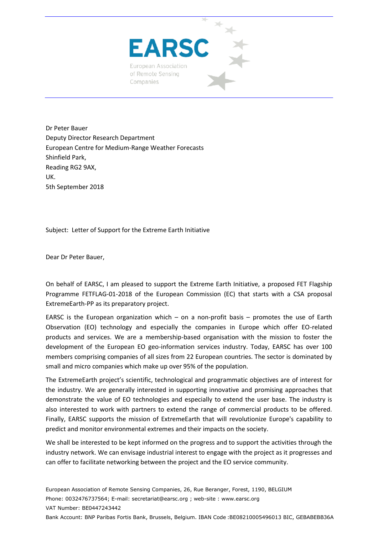

Dr Peter Bauer Deputy Director Research Department European Centre for Medium‐Range Weather Forecasts Shinfield Park, Reading RG2 9AX, UK. 5th September 2018

Subject: Letter of Support for the Extreme Earth Initiative

Dear Dr Peter Bauer,

On behalf of EARSC, I am pleased to support the Extreme Earth Initiative, a proposed FET Flagship Programme FETFLAG‐01‐2018 of the European Commission (EC) that starts with a CSA proposal ExtremeEarth‐PP as its preparatory project.

EARSC is the European organization which – on a non-profit basis – promotes the use of Earth Observation (EO) technology and especially the companies in Europe which offer EO-related products and services. We are a membership-based organisation with the mission to foster the development of the European EO geo-information services industry. Today, EARSC has over 100 members comprising companies of all sizes from 22 European countries. The sector is dominated by small and micro companies which make up over 95% of the population.

The ExtremeEarth project's scientific, technological and programmatic objectives are of interest for the industry. We are generally interested in supporting innovative and promising approaches that demonstrate the value of EO technologies and especially to extend the user base. The industry is also interested to work with partners to extend the range of commercial products to be offered. Finally, EARSC supports the mission of ExtremeEarth that will revolutionize Europe's capability to predict and monitor environmental extremes and their impacts on the society.

We shall be interested to be kept informed on the progress and to support the activities through the industry network. We can envisage industrial interest to engage with the project as it progresses and can offer to facilitate networking between the project and the EO service community.

European Association of Remote Sensing Companies, 26, Rue Beranger, Forest, 1190, BELGIUM Phone: 0032476737564; E-mail: secretariat@earsc.org ; web-site : www.earsc.org VAT Number: BE0447243442 Bank Account: BNP Paribas Fortis Bank, Brussels, Belgium. IBAN Code :BE08210005496013 BIC, GEBABEBB36A